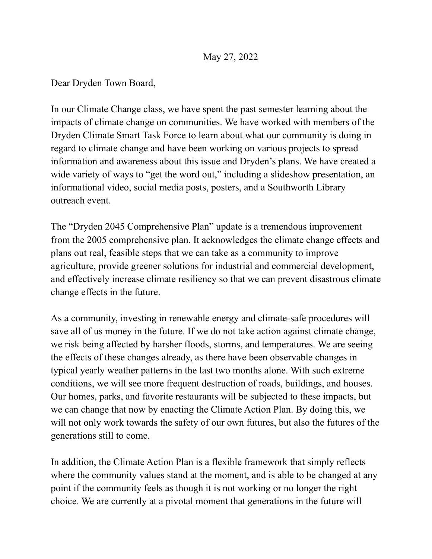## May 27, 2022

Dear Dryden Town Board,

In our Climate Change class, we have spent the past semester learning about the impacts of climate change on communities. We have worked with members of the Dryden Climate Smart Task Force to learn about what our community is doing in regard to climate change and have been working on various projects to spread information and awareness about this issue and Dryden's plans. We have created a wide variety of ways to "get the word out," including a slideshow presentation, an informational video, social media posts, posters, and a Southworth Library outreach event.

The "Dryden 2045 Comprehensive Plan" update is a tremendous improvement from the 2005 comprehensive plan. It acknowledges the climate change effects and plans out real, feasible steps that we can take as a community to improve agriculture, provide greener solutions for industrial and commercial development, and effectively increase climate resiliency so that we can prevent disastrous climate change effects in the future.

As a community, investing in renewable energy and climate-safe procedures will save all of us money in the future. If we do not take action against climate change, we risk being affected by harsher floods, storms, and temperatures. We are seeing the effects of these changes already, as there have been observable changes in typical yearly weather patterns in the last two months alone. With such extreme conditions, we will see more frequent destruction of roads, buildings, and houses. Our homes, parks, and favorite restaurants will be subjected to these impacts, but we can change that now by enacting the Climate Action Plan. By doing this, we will not only work towards the safety of our own futures, but also the futures of the generations still to come.

In addition, the Climate Action Plan is a flexible framework that simply reflects where the community values stand at the moment, and is able to be changed at any point if the community feels as though it is not working or no longer the right choice. We are currently at a pivotal moment that generations in the future will